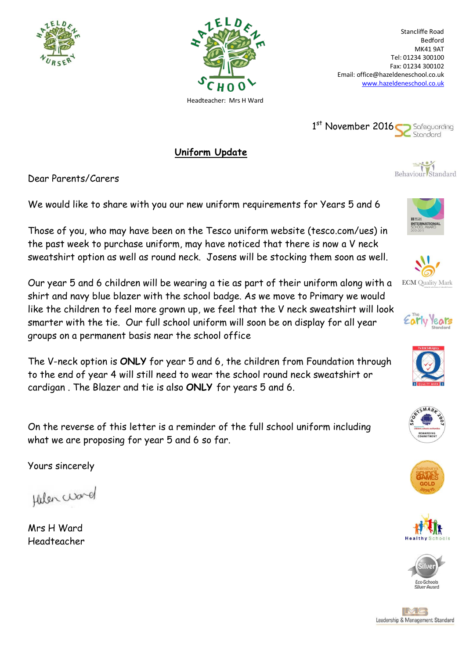



Stancliffe Road Bedford MK41 9AT Tel: 01234 300100 Fax: 01234 300102 Email: office@hazeldeneschool.co.uk [www.hazeldeneschool.co.uk](http://www.hazeldeneschool.co.uk/)



**Uniform Update**

Dear Parents/Carers

We would like to share with you our new uniform requirements for Years 5 and 6

Those of you, who may have been on the Tesco uniform website (tesco.com/ues) in the past week to purchase uniform, may have noticed that there is now a V neck sweatshirt option as well as round neck. Josens will be stocking them soon as well.

Our year 5 and 6 children will be wearing a tie as part of their uniform along with a shirt and navy blue blazer with the school badge. As we move to Primary we would like the children to feel more grown up, we feel that the V neck sweatshirt will look smarter with the tie. Our full school uniform will soon be on display for all year groups on a permanent basis near the school office

The V-neck option is **ONLY** for year 5 and 6, the children from Foundation through to the end of year 4 will still need to wear the school round neck sweatshirt or cardigan . The Blazer and tie is also **ONLY** for years 5 and 6.

On the reverse of this letter is a reminder of the full school uniform including what we are proposing for year 5 and 6 so far.

Yours sincerely

Hulen ward

Mrs H Ward Headteacher



The Behaviour Standard















IMG Leadership & Management Standard